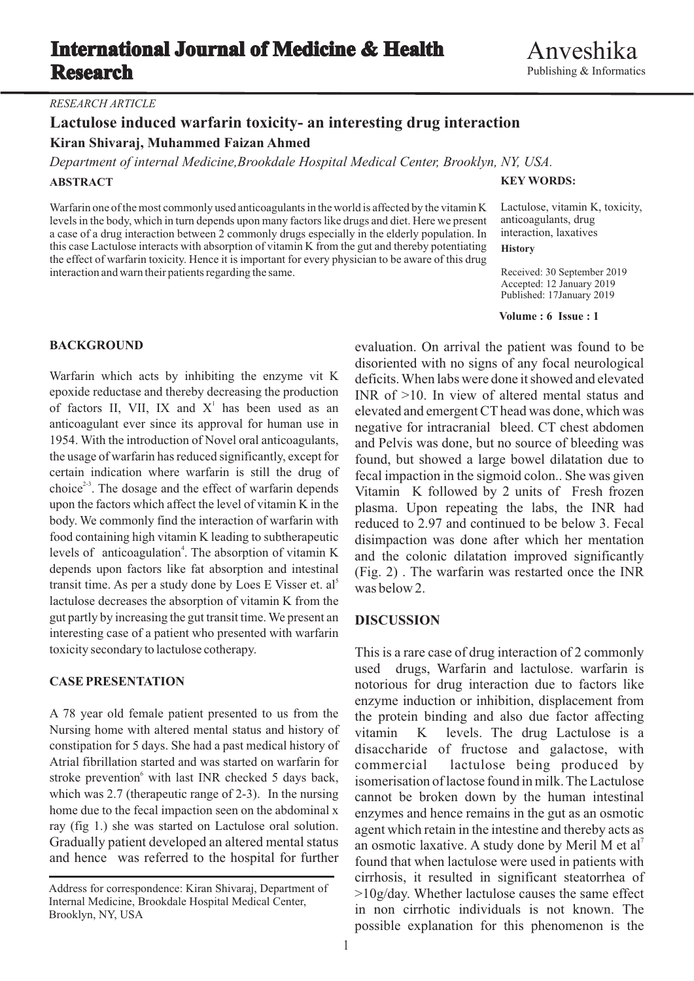## **International Journal of Medicine & Health Research**

### *RESEARCH ARTICLE*

# **Lactulose induced warfarin toxicity- an interesting drug interaction**

**Kiran Shivaraj, Muhammed Faizan Ahmed**

*Department of internal Medicine,Brookdale Hospital Medical Center, Brooklyn, NY, USA.*

### **ABSTRACT**

Warfarin one of the most commonly used anticoagulants in the world is affected by the vitamin K levels in the body, which in turn depends upon many factors like drugs and diet. Here we present a case of a drug interaction between 2 commonly drugs especially in the elderly population. In this case Lactulose interacts with absorption of vitamin K from the gut and thereby potentiating the effect of warfarin toxicity. Hence it is important for every physician to be aware of this drug interaction and warn their patients regarding the same.

### **KEY WORDS:**

Lactulose, vitamin K, toxicity, anticoagulants, drug interaction, laxatives

**History**

Received: 30 September 2019 Accepted: 12 January 2019 Published: 17January 2019

### **Volume : 6 Issue : 1**

of factors II, VII, IX and  $X<sup>1</sup>$  has been used as an levels of anticoagulation<sup>4</sup>. The absorption of vitamin K levels of anticoagulation. The absorption of vitamin K and the colonic dilatation improved significantly depends upon factors like fat absorption and intestinal (Fig. 2). The warfaring was restarted once the INR transit time. As per a study done by Loes E Visser et.  $a^2$  was below 2. lactulose decreases the absorption of vitamin K from the gut partly by increasing the gut transit time. We present an **DISCUSSION** interesting case of a patient who presented with warfarin toxicity secondary to lactulose cotherapy. This is a rare case of drug interaction of 2 commonly

Nursing home with altered mental status and history of vitamin K levels. The drug Lactulose is a constipation for 5 days. She had a past medical history of disaccharide of fructose and galactose with constipation for 5 days. She had a past medical history of disaccharide of fructose and galactose, with Atrial fibrillation started and was started on warfarin for commercial lactulose being produced by stroke prevention<sup>6</sup> with last INR checked 5 days back, stroke prevention with last INR checked 5 days back, isomerisation of lactose found in milk. The Lactulose which was 2.7 (therapeutic range of 2-3). In the nursing cannot be broken down by the human intestinal which was 2.7 (therapeutic range of 2-3). In the nursing cannot be broken down by the human intestinal home due to the fecal impaction seen on the abdominal x enzymes and hence remains in the out as an osmotic home due to the fecal impaction seen on the abdominal x enzymes and hence remains in the gut as an osmotic ray (fig 1.) she was started on Lactulose oral solution. ray (fig 1.) she was started on Lactulose oral solution. agent which retain in the intestine and thereby acts as Gradually patient developed an altered mental status an osmotic laxative. A study done by Meril M et al<sup>7</sup> Gradually patient developed an altered mental status an osmotic laxative. A study done by Meril M et al' and hence was referred to the hospital for further found that when lactulose were used in patients with

**BACKGROUND** evaluation. On arrival the patient was found to be disoriented with no signs of any focal neurological Warfarin which acts by inhibiting the enzyme vit K deficits. When labs were done it showed and elevated epoxide reductase and thereby decreasing the production  $NIR$  of  $>10$ . In view of altered mental status and INR of  $>10$ . In view of altered mental status and of factors II, VII, IX and X has been used as an elevated and emergent CT head was done, which was anticoagulant ever since its approval for human use in negative for intracranial bleed CT chest abdomen anticoagulant ever since its approval for human use in negative for intracranial bleed. CT chest abdomen 1954. With the introduction of Novel oral anticoagulants, and Pelvis was done but no source of bleeding was 1954. With the introduction of Novel oral anticoagulants, and Pelvis was done, but no source of bleeding was the usage of warfarin has reduced significantly, except for found but showed a large bowel dilatation due to the usage of warfarin has reduced significantly, except for found, but showed a large bowel dilatation due to certain indication where warfarin is still the drug of fecal impaction in the sigmoid colon. She was given certain indication where warfarin is still the drug of fecal impaction in the sigmoid colon. She was given choice<sup>23</sup>. The dosage and the effect of warfarin depends Vitamin K followed by 2 units of Fresh frozen choice<sup>25</sup>. The dosage and the effect of warfarin depends Vitamin K followed by 2 units of Fresh frozen<br>upon the factors which affect the level of vitamin K in the plasma. Upon repeating the labs the UNR had upon the factors which affect the level of vitamin K in the plasma. Upon repeating the labs, the INR had body. We commonly find the interaction of warfarin with reduced to 2.97 and continued to be below 3. Fecal body. We commonly find the interaction of warfarin with reduced to 2.97 and continued to be below 3. Fecal food containing high vitamin K leading to subtherapeutic disimplection was done after which her mentation disimpaction was done after which her mentation  $F$ ig. 2). The warfarin was restarted once the INR

used drugs, Warfarin and lactulose. warfarin is **CASE PRESENTATION** notorious for drug interaction due to factors like enzyme induction or inhibition, displacement from A 78 year old female patient presented to us from the the protein binding and also due factor affecting commercial lactulose being produced by found that when lactulose were used in patients with cirrhosis, it resulted in significant steatorrhea of  $>10g$ /day. Whether lactulose causes the same effect in non cirrhotic individuals is not known. The possible explanation for this phenomenon is the

Address for correspondence: Kiran Shivaraj, Department of Internal Medicine, Brookdale Hospital Medical Center, Brooklyn, NY, USA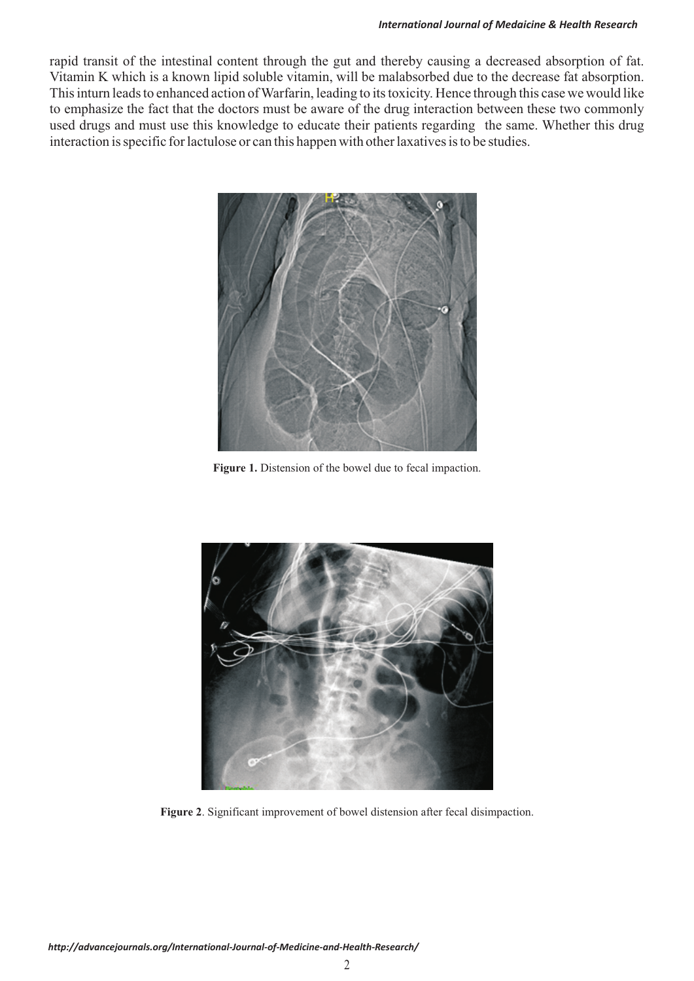rapid transit of the intestinal content through the gut and thereby causing a decreased absorption of fat. Vitamin K which is a known lipid soluble vitamin, will be malabsorbed due to the decrease fat absorption. This inturn leads to enhanced action of Warfarin, leading to its toxicity. Hence through this case we would like to emphasize the fact that the doctors must be aware of the drug interaction between these two commonly used drugs and must use this knowledge to educate their patients regarding the same. Whether this drug interaction is specific for lactulose or can this happen with other laxatives is to be studies.



**Figure 1.** Distension of the bowel due to fecal impaction.



**Figure 2**. Significant improvement of bowel distension after fecal disimpaction.